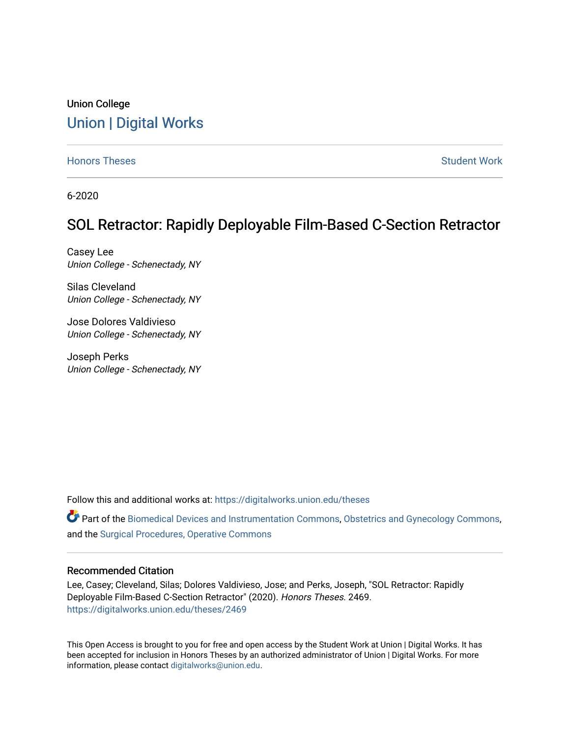# Union College [Union | Digital Works](https://digitalworks.union.edu/)

[Honors Theses](https://digitalworks.union.edu/theses) [Student Work](https://digitalworks.union.edu/studentwork) and Student Work and Student Work Student Work

6-2020

# SOL Retractor: Rapidly Deployable Film-Based C-Section Retractor

Casey Lee Union College - Schenectady, NY

Silas Cleveland Union College - Schenectady, NY

Jose Dolores Valdivieso Union College - Schenectady, NY

Joseph Perks Union College - Schenectady, NY

Follow this and additional works at: [https://digitalworks.union.edu/theses](https://digitalworks.union.edu/theses?utm_source=digitalworks.union.edu%2Ftheses%2F2469&utm_medium=PDF&utm_campaign=PDFCoverPages) 

Part of the [Biomedical Devices and Instrumentation Commons,](http://network.bepress.com/hgg/discipline/235?utm_source=digitalworks.union.edu%2Ftheses%2F2469&utm_medium=PDF&utm_campaign=PDFCoverPages) [Obstetrics and Gynecology Commons,](http://network.bepress.com/hgg/discipline/693?utm_source=digitalworks.union.edu%2Ftheses%2F2469&utm_medium=PDF&utm_campaign=PDFCoverPages) and the [Surgical Procedures, Operative Commons](http://network.bepress.com/hgg/discipline/974?utm_source=digitalworks.union.edu%2Ftheses%2F2469&utm_medium=PDF&utm_campaign=PDFCoverPages) 

#### Recommended Citation

Lee, Casey; Cleveland, Silas; Dolores Valdivieso, Jose; and Perks, Joseph, "SOL Retractor: Rapidly Deployable Film-Based C-Section Retractor" (2020). Honors Theses. 2469. [https://digitalworks.union.edu/theses/2469](https://digitalworks.union.edu/theses/2469?utm_source=digitalworks.union.edu%2Ftheses%2F2469&utm_medium=PDF&utm_campaign=PDFCoverPages)

This Open Access is brought to you for free and open access by the Student Work at Union | Digital Works. It has been accepted for inclusion in Honors Theses by an authorized administrator of Union | Digital Works. For more information, please contact [digitalworks@union.edu.](mailto:digitalworks@union.edu)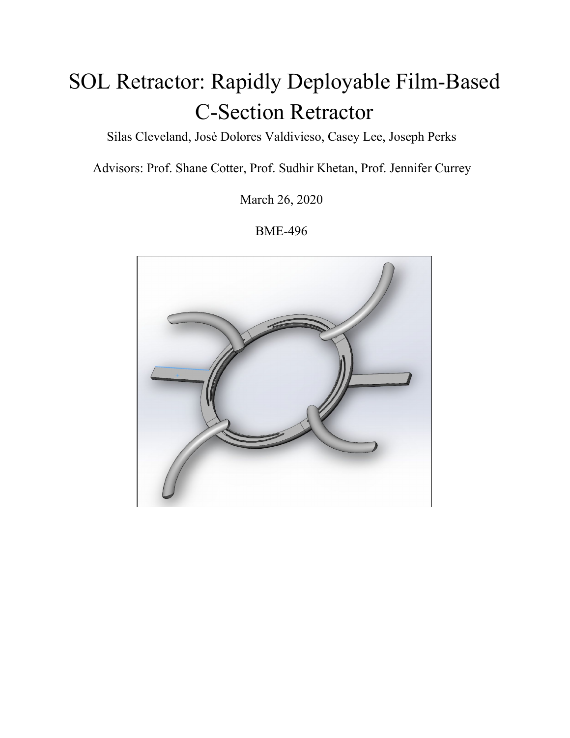# SOL Retractor: Rapidly Deployable Film-Based C-Section Retractor

Silas Cleveland, Josè Dolores Valdivieso, Casey Lee, Joseph Perks

Advisors: Prof. Shane Cotter, Prof. Sudhir Khetan, Prof. Jennifer Currey

March 26, 2020

BME-496

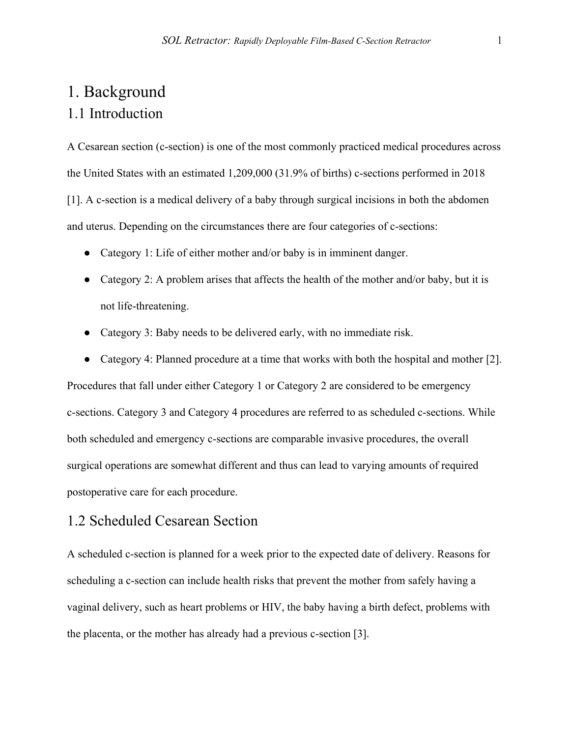# 1. Background 1.1 Introduction

A Cesarean section (c-section) is one of the most commonly practiced medical procedures across the United States with an estimated 1,209,000 (31.9% of births) c-sections performed in 2018 [1]. A c-section is a medical delivery of a baby through surgical incisions in both the abdomen and uterus. Depending on the circumstances there are four categories of c-sections:

- Category 1: Life of either mother and/or baby is in imminent danger.
- Category 2: A problem arises that affects the health of the mother and/or baby, but it is not life-threatening.
- Category 3: Baby needs to be delivered early, with no immediate risk.
- Category 4: Planned procedure at a time that works with both the hospital and mother [2].

Procedures that fall under either Category 1 or Category 2 are considered to be emergency c-sections. Category 3 and Category 4 procedures are referred to as scheduled c-sections. While both scheduled and emergency c-sections are comparable invasive procedures, the overall surgical operations are somewhat different and thus can lead to varying amounts of required postoperative care for each procedure.

### 1.2 Scheduled Cesarean Section

A scheduled c-section is planned for a week prior to the expected date of delivery. Reasons for scheduling a c-section can include health risks that prevent the mother from safely having a vaginal delivery, such as heart problems or HIV, the baby having a birth defect, problems with the placenta, or the mother has already had a previous c-section [3].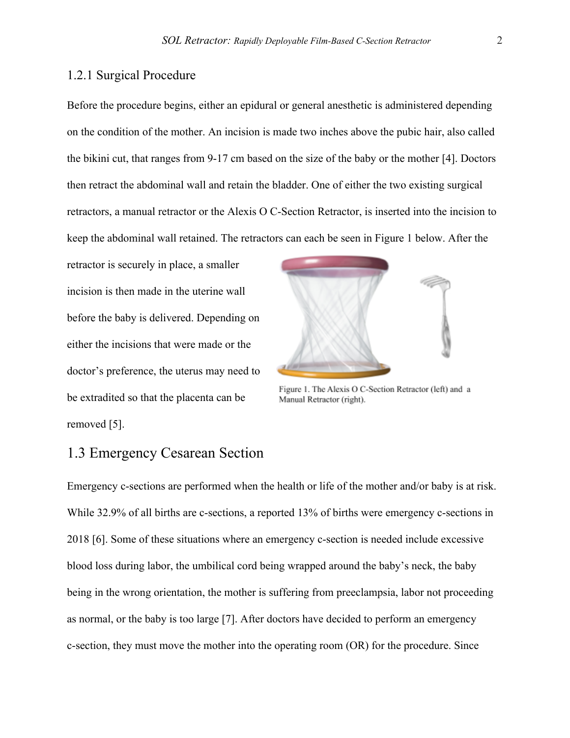#### 1.2.1 Surgical Procedure

Before the procedure begins, either an epidural or general anesthetic is administered depending on the condition of the mother. An incision is made two inches above the pubic hair, also called the bikini cut, that ranges from 9-17 cm based on the size of the baby or the mother [4]. Doctors then retract the abdominal wall and retain the bladder. One of either the two existing surgical retractors, a manual retractor or the Alexis O C-Section Retractor, is inserted into the incision to keep the abdominal wall retained. The retractors can each be seen in Figure 1 below. After the

retractor is securely in place, a smaller incision is then made in the uterine wall before the baby is delivered. Depending on either the incisions that were made or the doctor's preference, the uterus may need to be extradited so that the placenta can be removed [5].



Figure 1. The Alexis O C-Section Retractor (left) and a Manual Retractor (right).

### 1.3 Emergency Cesarean Section

Emergency c-sections are performed when the health or life of the mother and/or baby is at risk. While 32.9% of all births are c-sections, a reported 13% of births were emergency c-sections in 2018 [6]. Some of these situations where an emergency c-section is needed include excessive blood loss during labor, the umbilical cord being wrapped around the baby's neck, the baby being in the wrong orientation, the mother is suffering from preeclampsia, labor not proceeding as normal, or the baby is too large [7]. After doctors have decided to perform an emergency c-section, they must move the mother into the operating room (OR) for the procedure. Since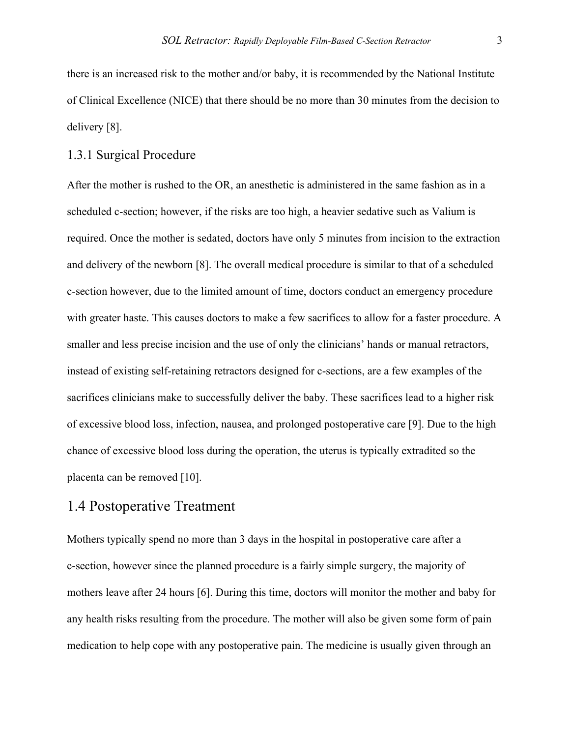there is an increased risk to the mother and/or baby, it is recommended by the National Institute of Clinical Excellence (NICE) that there should be no more than 30 minutes from the decision to delivery [8].

#### 1.3.1 Surgical Procedure

After the mother is rushed to the OR, an anesthetic is administered in the same fashion as in a scheduled c-section; however, if the risks are too high, a heavier sedative such as Valium is required. Once the mother is sedated, doctors have only 5 minutes from incision to the extraction and delivery of the newborn [8]. The overall medical procedure is similar to that of a scheduled c-section however, due to the limited amount of time, doctors conduct an emergency procedure with greater haste. This causes doctors to make a few sacrifices to allow for a faster procedure. A smaller and less precise incision and the use of only the clinicians' hands or manual retractors, instead of existing self-retaining retractors designed for c-sections, are a few examples of the sacrifices clinicians make to successfully deliver the baby. These sacrifices lead to a higher risk of excessive blood loss, infection, nausea, and prolonged postoperative care [9]. Due to the high chance of excessive blood loss during the operation, the uterus is typically extradited so the placenta can be removed [10].

### 1.4 Postoperative Treatment

Mothers typically spend no more than 3 days in the hospital in postoperative care after a c-section, however since the planned procedure is a fairly simple surgery, the majority of mothers leave after 24 hours [6]. During this time, doctors will monitor the mother and baby for any health risks resulting from the procedure. The mother will also be given some form of pain medication to help cope with any postoperative pain. The medicine is usually given through an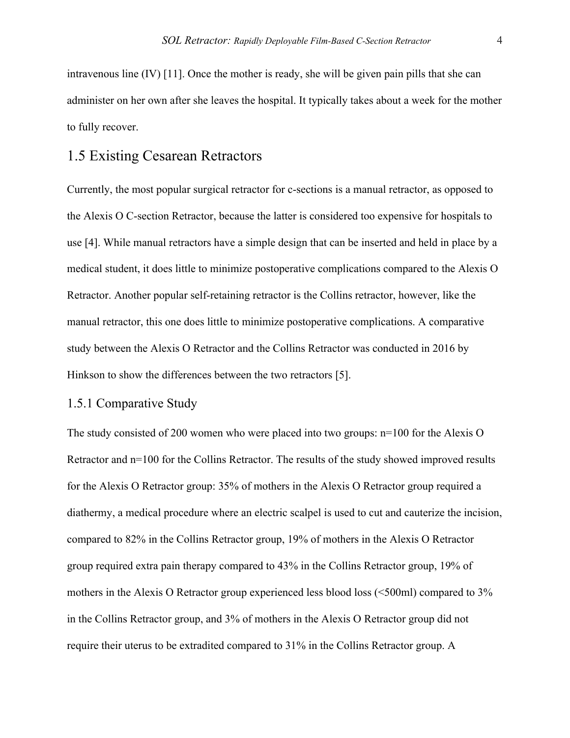intravenous line (IV) [11]. Once the mother is ready, she will be given pain pills that she can administer on her own after she leaves the hospital. It typically takes about a week for the mother to fully recover.

### 1.5 Existing Cesarean Retractors

Currently, the most popular surgical retractor for c-sections is a manual retractor, as opposed to the Alexis O C-section Retractor, because the latter is considered too expensive for hospitals to use [4]. While manual retractors have a simple design that can be inserted and held in place by a medical student, it does little to minimize postoperative complications compared to the Alexis O Retractor. Another popular self-retaining retractor is the Collins retractor, however, like the manual retractor, this one does little to minimize postoperative complications. A comparative study between the Alexis O Retractor and the Collins Retractor was conducted in 2016 by Hinkson to show the differences between the two retractors [5].

#### 1.5.1 Comparative Study

The study consisted of 200 women who were placed into two groups: n=100 for the Alexis O Retractor and n=100 for the Collins Retractor. The results of the study showed improved results for the Alexis O Retractor group: 35% of mothers in the Alexis O Retractor group required a diathermy, a medical procedure where an electric scalpel is used to cut and cauterize the incision, compared to 82% in the Collins Retractor group, 19% of mothers in the Alexis O Retractor group required extra pain therapy compared to 43% in the Collins Retractor group, 19% of mothers in the Alexis O Retractor group experienced less blood loss (<500ml) compared to 3% in the Collins Retractor group, and 3% of mothers in the Alexis O Retractor group did not require their uterus to be extradited compared to 31% in the Collins Retractor group. A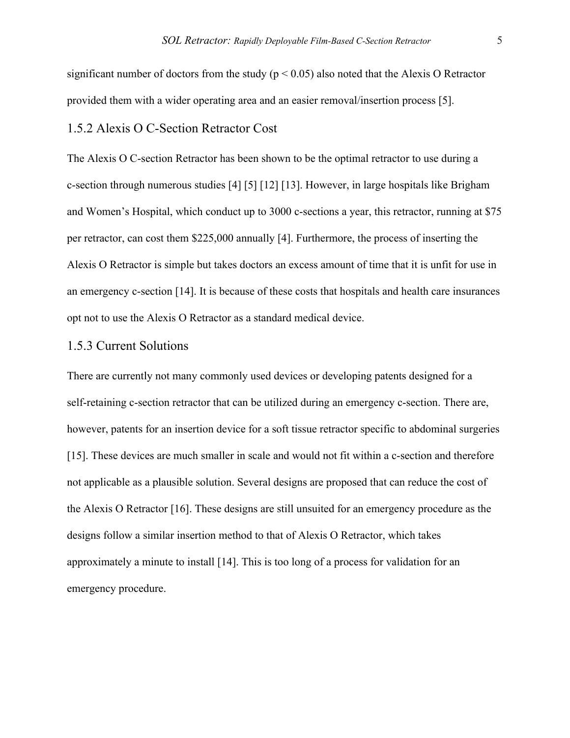significant number of doctors from the study ( $p < 0.05$ ) also noted that the Alexis O Retractor provided them with a wider operating area and an easier removal/insertion process [5].

#### 1.5.2 Alexis O C-Section Retractor Cost

The Alexis O C-section Retractor has been shown to be the optimal retractor to use during a c-section through numerous studies [4] [5] [12] [13]. However, in large hospitals like Brigham and Women's Hospital, which conduct up to 3000 c-sections a year, this retractor, running at \$75 per retractor, can cost them \$225,000 annually [4]. Furthermore, the process of inserting the Alexis O Retractor is simple but takes doctors an excess amount of time that it is unfit for use in an emergency c-section [14]. It is because of these costs that hospitals and health care insurances opt not to use the Alexis O Retractor as a standard medical device.

#### 1.5.3 Current Solutions

There are currently not many commonly used devices or developing patents designed for a self-retaining c-section retractor that can be utilized during an emergency c-section. There are, however, patents for an insertion device for a soft tissue retractor specific to abdominal surgeries [15]. These devices are much smaller in scale and would not fit within a c-section and therefore not applicable as a plausible solution. Several designs are proposed that can reduce the cost of the Alexis O Retractor [16]. These designs are still unsuited for an emergency procedure as the designs follow a similar insertion method to that of Alexis O Retractor, which takes approximately a minute to install [14]. This is too long of a process for validation for an emergency procedure.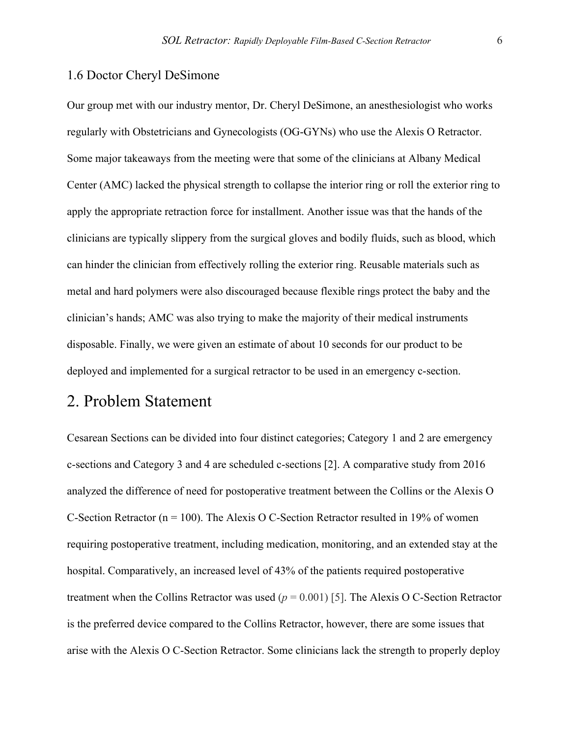#### 1.6 Doctor Cheryl DeSimone

Our group met with our industry mentor, Dr. Cheryl DeSimone, an anesthesiologist who works regularly with Obstetricians and Gynecologists (OG-GYNs) who use the Alexis O Retractor. Some major takeaways from the meeting were that some of the clinicians at Albany Medical Center (AMC) lacked the physical strength to collapse the interior ring or roll the exterior ring to apply the appropriate retraction force for installment. Another issue was that the hands of the clinicians are typically slippery from the surgical gloves and bodily fluids, such as blood, which can hinder the clinician from effectively rolling the exterior ring. Reusable materials such as metal and hard polymers were also discouraged because flexible rings protect the baby and the clinician's hands; AMC was also trying to make the majority of their medical instruments disposable. Finally, we were given an estimate of about 10 seconds for our product to be deployed and implemented for a surgical retractor to be used in an emergency c-section.

# 2. Problem Statement

Cesarean Sections can be divided into four distinct categories; Category 1 and 2 are emergency c-sections and Category 3 and 4 are scheduled c-sections [2]. A comparative study from 2016 analyzed the difference of need for postoperative treatment between the Collins or the Alexis O C-Section Retractor ( $n = 100$ ). The Alexis O C-Section Retractor resulted in 19% of women requiring postoperative treatment, including medication, monitoring, and an extended stay at the hospital. Comparatively, an increased level of 43% of the patients required postoperative treatment when the Collins Retractor was used  $(p = 0.001)$  [5]. The Alexis O C-Section Retractor is the preferred device compared to the Collins Retractor, however, there are some issues that arise with the Alexis O C-Section Retractor. Some clinicians lack the strength to properly deploy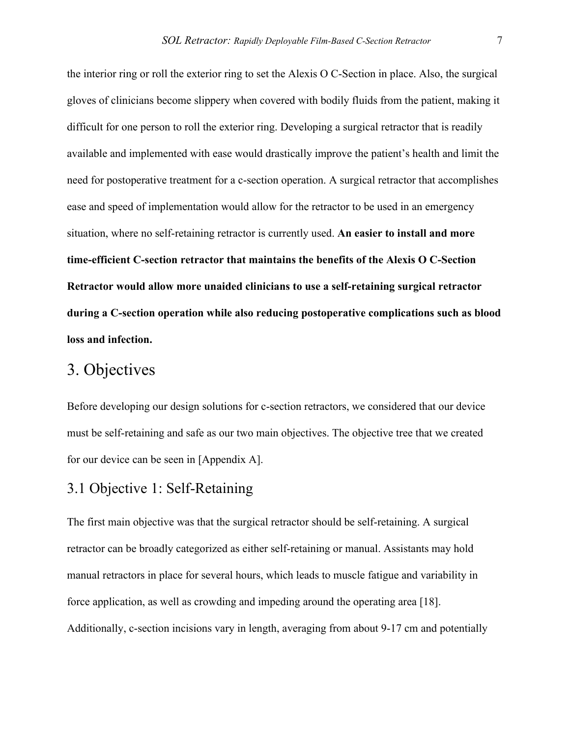the interior ring or roll the exterior ring to set the Alexis O C-Section in place. Also, the surgical gloves of clinicians become slippery when covered with bodily fluids from the patient, making it difficult for one person to roll the exterior ring. Developing a surgical retractor that is readily available and implemented with ease would drastically improve the patient's health and limit the need for postoperative treatment for a c-section operation. A surgical retractor that accomplishes ease and speed of implementation would allow for the retractor to be used in an emergency situation, where no self-retaining retractor is currently used. **An easier to install and more time-efficient C-section retractor that maintains the benefits of the Alexis O C-Section Retractor would allow more unaided clinicians to use a self-retaining surgical retractor during a C-section operation while also reducing postoperative complications such as blood loss and infection.**

# 3. Objectives

Before developing our design solutions for c-section retractors, we considered that our device must be self-retaining and safe as our two main objectives. The objective tree that we created for our device can be seen in [Appendix A].

# 3.1 Objective 1: Self-Retaining

The first main objective was that the surgical retractor should be self-retaining. A surgical retractor can be broadly categorized as either self-retaining or manual. Assistants may hold manual retractors in place for several hours, which leads to muscle fatigue and variability in force application, as well as crowding and impeding around the operating area [18]. Additionally, c-section incisions vary in length, averaging from about 9-17 cm and potentially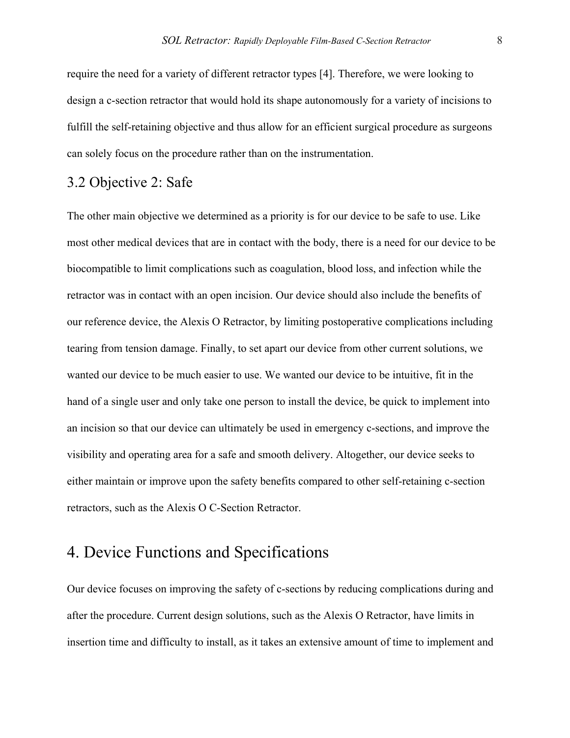require the need for a variety of different retractor types [4]. Therefore, we were looking to design a c-section retractor that would hold its shape autonomously for a variety of incisions to fulfill the self-retaining objective and thus allow for an efficient surgical procedure as surgeons can solely focus on the procedure rather than on the instrumentation.

# 3.2 Objective 2: Safe

The other main objective we determined as a priority is for our device to be safe to use. Like most other medical devices that are in contact with the body, there is a need for our device to be biocompatible to limit complications such as coagulation, blood loss, and infection while the retractor was in contact with an open incision. Our device should also include the benefits of our reference device, the Alexis O Retractor, by limiting postoperative complications including tearing from tension damage. Finally, to set apart our device from other current solutions, we wanted our device to be much easier to use. We wanted our device to be intuitive, fit in the hand of a single user and only take one person to install the device, be quick to implement into an incision so that our device can ultimately be used in emergency c-sections, and improve the visibility and operating area for a safe and smooth delivery. Altogether, our device seeks to either maintain or improve upon the safety benefits compared to other self-retaining c-section retractors, such as the Alexis O C-Section Retractor.

# 4. Device Functions and Specifications

Our device focuses on improving the safety of c-sections by reducing complications during and after the procedure. Current design solutions, such as the Alexis O Retractor, have limits in insertion time and difficulty to install, as it takes an extensive amount of time to implement and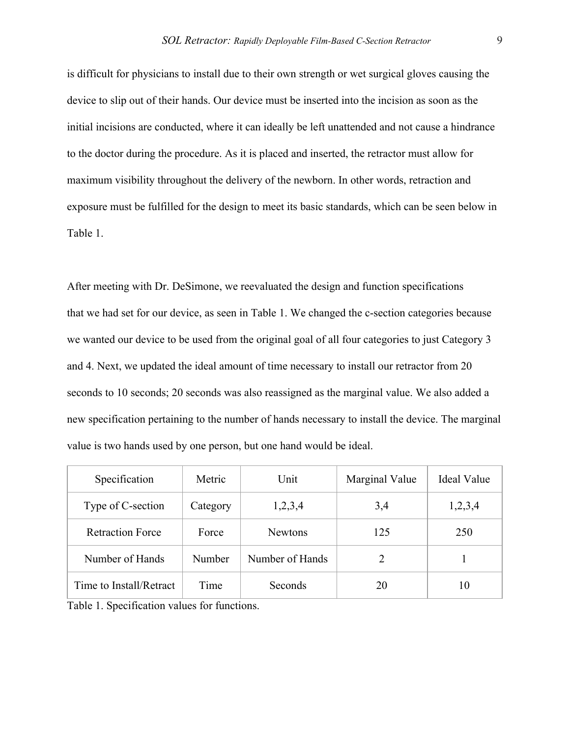is difficult for physicians to install due to their own strength or wet surgical gloves causing the device to slip out of their hands. Our device must be inserted into the incision as soon as the initial incisions are conducted, where it can ideally be left unattended and not cause a hindrance to the doctor during the procedure. As it is placed and inserted, the retractor must allow for maximum visibility throughout the delivery of the newborn. In other words, retraction and exposure must be fulfilled for the design to meet its basic standards, which can be seen below in Table 1.

After meeting with Dr. DeSimone, we reevaluated the design and function specifications that we had set for our device, as seen in Table 1. We changed the c-section categories because we wanted our device to be used from the original goal of all four categories to just Category 3 and 4. Next, we updated the ideal amount of time necessary to install our retractor from 20 seconds to 10 seconds; 20 seconds was also reassigned as the marginal value. We also added a new specification pertaining to the number of hands necessary to install the device. The marginal value is two hands used by one person, but one hand would be ideal.

| Specification           | Metric   | Unit            | Marginal Value | Ideal Value |
|-------------------------|----------|-----------------|----------------|-------------|
| Type of C-section       | Category | 1,2,3,4         | 3,4            | 1,2,3,4     |
| <b>Retraction Force</b> | Force    | <b>Newtons</b>  | 125            | 250         |
| Number of Hands         | Number   | Number of Hands | 2              |             |
| Time to Install/Retract | Time     | Seconds         | 20             | 10          |

Table 1. Specification values for functions.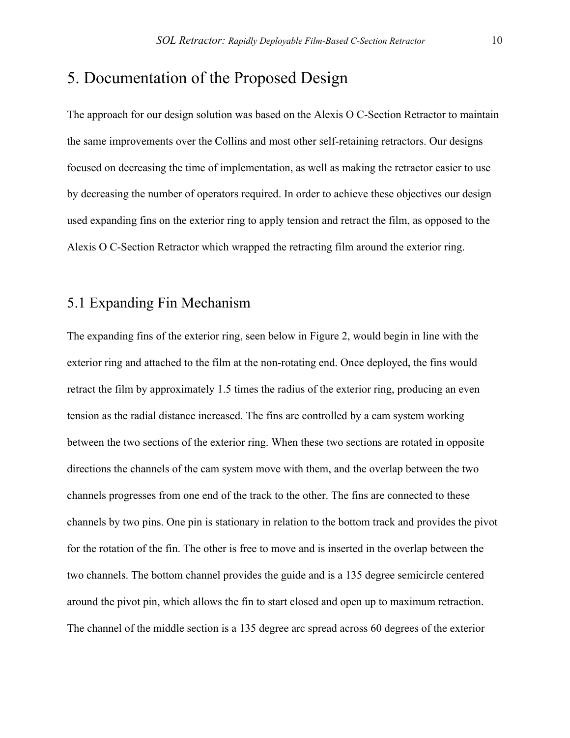# 5. Documentation of the Proposed Design

The approach for our design solution was based on the Alexis O C-Section Retractor to maintain the same improvements over the Collins and most other self-retaining retractors. Our designs focused on decreasing the time of implementation, as well as making the retractor easier to use by decreasing the number of operators required. In order to achieve these objectives our design used expanding fins on the exterior ring to apply tension and retract the film, as opposed to the Alexis O C-Section Retractor which wrapped the retracting film around the exterior ring.

# 5.1 Expanding Fin Mechanism

The expanding fins of the exterior ring, seen below in Figure 2, would begin in line with the exterior ring and attached to the film at the non-rotating end. Once deployed, the fins would retract the film by approximately 1.5 times the radius of the exterior ring, producing an even tension as the radial distance increased. The fins are controlled by a cam system working between the two sections of the exterior ring. When these two sections are rotated in opposite directions the channels of the cam system move with them, and the overlap between the two channels progresses from one end of the track to the other. The fins are connected to these channels by two pins. One pin is stationary in relation to the bottom track and provides the pivot for the rotation of the fin. The other is free to move and is inserted in the overlap between the two channels. The bottom channel provides the guide and is a 135 degree semicircle centered around the pivot pin, which allows the fin to start closed and open up to maximum retraction. The channel of the middle section is a 135 degree arc spread across 60 degrees of the exterior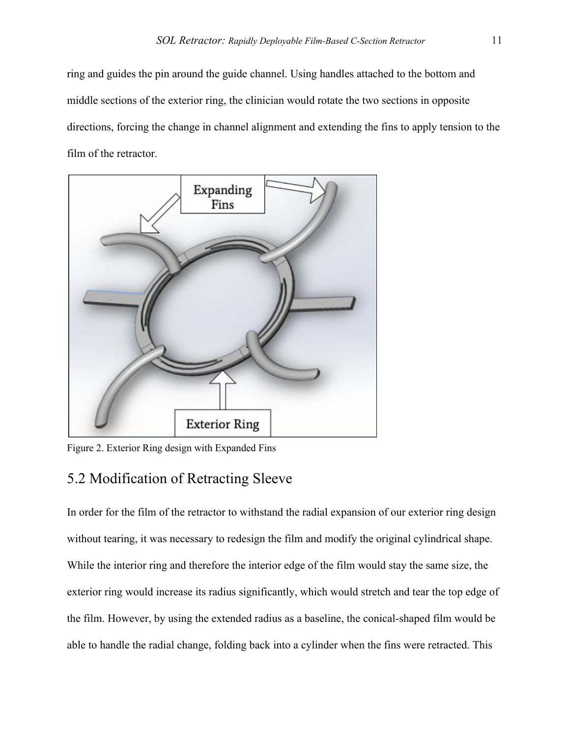ring and guides the pin around the guide channel. Using handles attached to the bottom and middle sections of the exterior ring, the clinician would rotate the two sections in opposite directions, forcing the change in channel alignment and extending the fins to apply tension to the film of the retractor.



Figure 2. Exterior Ring design with Expanded Fins

# 5.2 Modification of Retracting Sleeve

In order for the film of the retractor to withstand the radial expansion of our exterior ring design without tearing, it was necessary to redesign the film and modify the original cylindrical shape. While the interior ring and therefore the interior edge of the film would stay the same size, the exterior ring would increase its radius significantly, which would stretch and tear the top edge of the film. However, by using the extended radius as a baseline, the conical-shaped film would be able to handle the radial change, folding back into a cylinder when the fins were retracted. This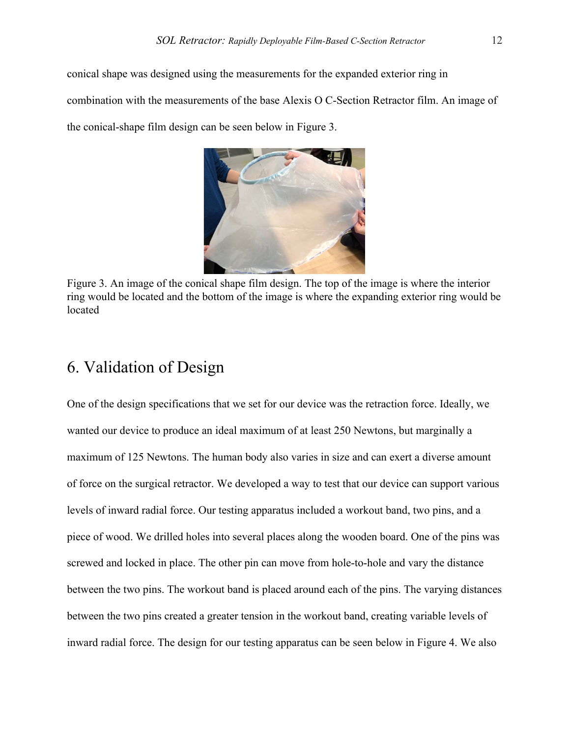conical shape was designed using the measurements for the expanded exterior ring in combination with the measurements of the base Alexis O C-Section Retractor film. An image of the conical-shape film design can be seen below in Figure 3.



Figure 3. An image of the conical shape film design. The top of the image is where the interior ring would be located and the bottom of the image is where the expanding exterior ring would be located

# 6. Validation of Design

One of the design specifications that we set for our device was the retraction force. Ideally, we wanted our device to produce an ideal maximum of at least 250 Newtons, but marginally a maximum of 125 Newtons. The human body also varies in size and can exert a diverse amount of force on the surgical retractor. We developed a way to test that our device can support various levels of inward radial force. Our testing apparatus included a workout band, two pins, and a piece of wood. We drilled holes into several places along the wooden board. One of the pins was screwed and locked in place. The other pin can move from hole-to-hole and vary the distance between the two pins. The workout band is placed around each of the pins. The varying distances between the two pins created a greater tension in the workout band, creating variable levels of inward radial force. The design for our testing apparatus can be seen below in Figure 4. We also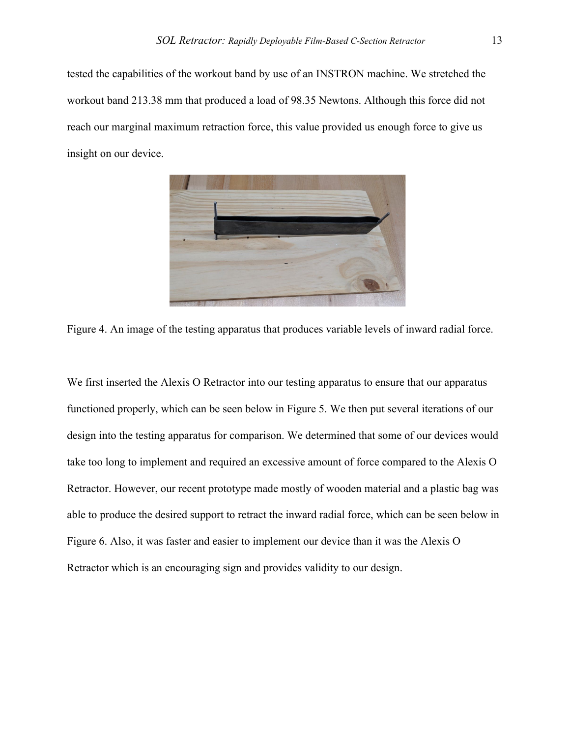tested the capabilities of the workout band by use of an INSTRON machine. We stretched the workout band 213.38 mm that produced a load of 98.35 Newtons. Although this force did not reach our marginal maximum retraction force, this value provided us enough force to give us insight on our device.



Figure 4. An image of the testing apparatus that produces variable levels of inward radial force.

We first inserted the Alexis O Retractor into our testing apparatus to ensure that our apparatus functioned properly, which can be seen below in Figure 5. We then put several iterations of our design into the testing apparatus for comparison. We determined that some of our devices would take too long to implement and required an excessive amount of force compared to the Alexis O Retractor. However, our recent prototype made mostly of wooden material and a plastic bag was able to produce the desired support to retract the inward radial force, which can be seen below in Figure 6. Also, it was faster and easier to implement our device than it was the Alexis O Retractor which is an encouraging sign and provides validity to our design.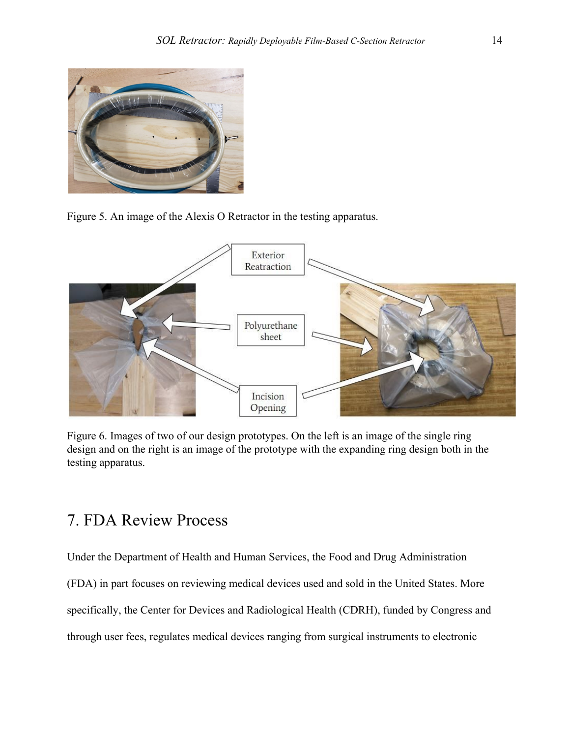

Figure 5. An image of the Alexis O Retractor in the testing apparatus.



Figure 6. Images of two of our design prototypes. On the left is an image of the single ring design and on the right is an image of the prototype with the expanding ring design both in the testing apparatus.

# 7. FDA Review Process

Under the Department of Health and Human Services, the Food and Drug Administration

(FDA) in part focuses on reviewing medical devices used and sold in the United States. More

specifically, the Center for Devices and Radiological Health (CDRH), funded by Congress and

through user fees, regulates medical devices ranging from surgical instruments to electronic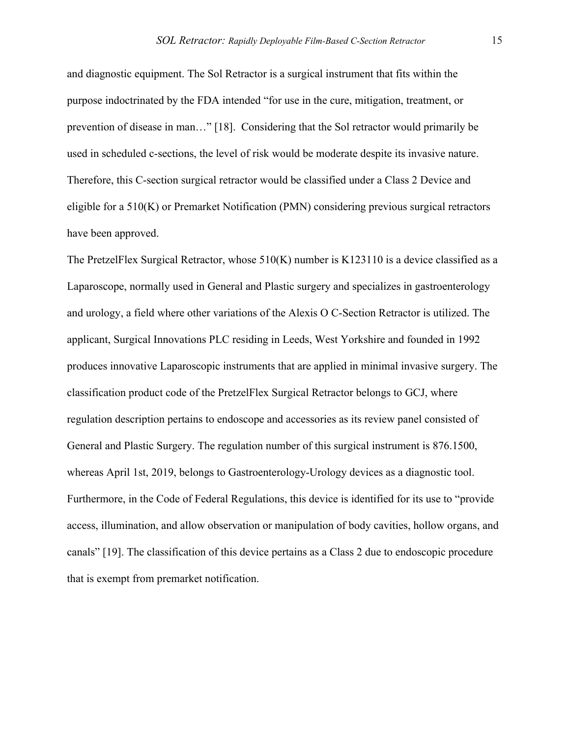and diagnostic equipment. The Sol Retractor is a surgical instrument that fits within the purpose indoctrinated by the FDA intended "for use in the cure, mitigation, treatment, or prevention of disease in man…" [18]. Considering that the Sol retractor would primarily be used in scheduled c-sections, the level of risk would be moderate despite its invasive nature. Therefore, this C-section surgical retractor would be classified under a Class 2 Device and eligible for a 510(K) or Premarket Notification (PMN) considering previous surgical retractors have been approved.

The PretzelFlex Surgical Retractor, whose 510(K) number is K123110 is a device classified as a Laparoscope, normally used in General and Plastic surgery and specializes in gastroenterology and urology, a field where other variations of the Alexis O C-Section Retractor is utilized. The applicant, Surgical Innovations PLC residing in Leeds, West Yorkshire and founded in 1992 produces innovative Laparoscopic instruments that are applied in minimal invasive surgery. The classification product code of the PretzelFlex Surgical Retractor belongs to GCJ, where regulation description pertains to endoscope and accessories as its review panel consisted of General and Plastic Surgery. The regulation number of this surgical instrument is 876.1500, whereas April 1st, 2019, belongs to Gastroenterology-Urology devices as a diagnostic tool. Furthermore, in the Code of Federal Regulations, this device is identified for its use to "provide access, illumination, and allow observation or manipulation of body cavities, hollow organs, and canals" [19]. The classification of this device pertains as a Class 2 due to endoscopic procedure that is exempt from premarket notification.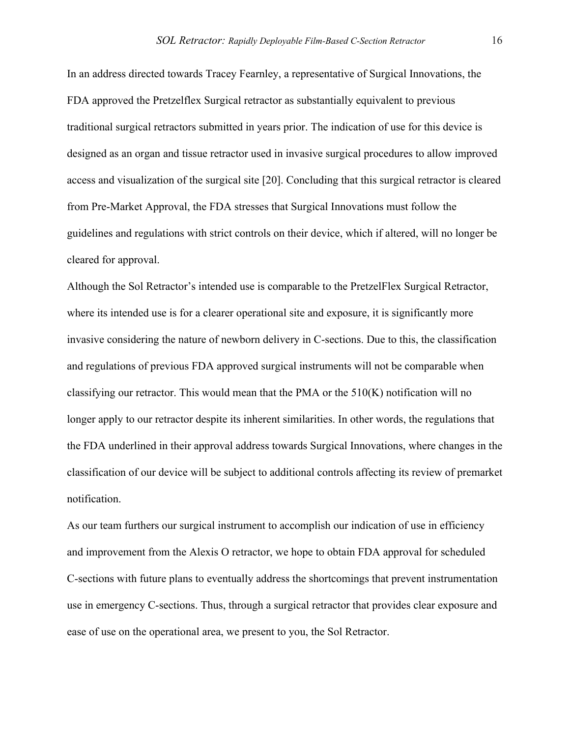In an address directed towards Tracey Fearnley, a representative of Surgical Innovations, the FDA approved the Pretzelflex Surgical retractor as substantially equivalent to previous traditional surgical retractors submitted in years prior. The indication of use for this device is designed as an organ and tissue retractor used in invasive surgical procedures to allow improved access and visualization of the surgical site [20]. Concluding that this surgical retractor is cleared from Pre-Market Approval, the FDA stresses that Surgical Innovations must follow the guidelines and regulations with strict controls on their device, which if altered, will no longer be cleared for approval.

Although the Sol Retractor's intended use is comparable to the PretzelFlex Surgical Retractor, where its intended use is for a clearer operational site and exposure, it is significantly more invasive considering the nature of newborn delivery in C-sections. Due to this, the classification and regulations of previous FDA approved surgical instruments will not be comparable when classifying our retractor. This would mean that the PMA or the  $510(K)$  notification will no longer apply to our retractor despite its inherent similarities. In other words, the regulations that the FDA underlined in their approval address towards Surgical Innovations, where changes in the classification of our device will be subject to additional controls affecting its review of premarket notification.

As our team furthers our surgical instrument to accomplish our indication of use in efficiency and improvement from the Alexis O retractor, we hope to obtain FDA approval for scheduled C-sections with future plans to eventually address the shortcomings that prevent instrumentation use in emergency C-sections. Thus, through a surgical retractor that provides clear exposure and ease of use on the operational area, we present to you, the Sol Retractor.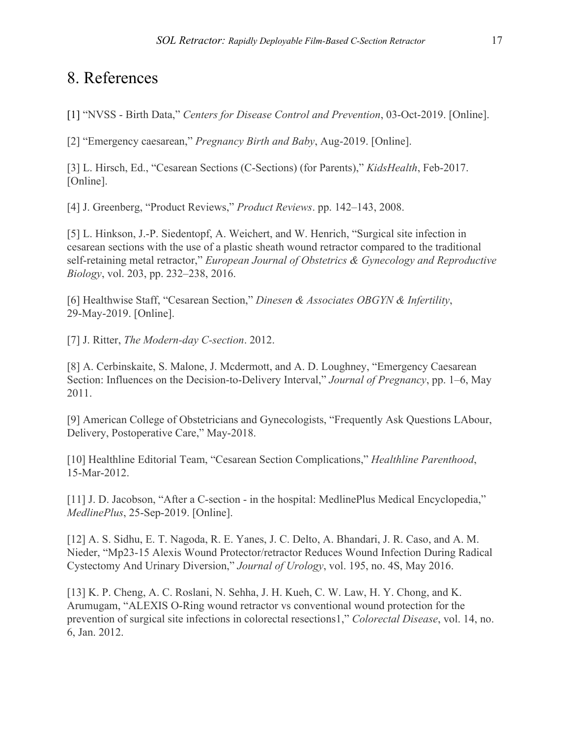# 8. References

[1] "NVSS - Birth Data," *Centers for Disease Control and Prevention*, 03-Oct-2019. [Online].

[2] "Emergency caesarean," *Pregnancy Birth and Baby*, Aug-2019. [Online].

[3] L. Hirsch, Ed., "Cesarean Sections (C-Sections) (for Parents)," *KidsHealth*, Feb-2017. [Online].

[4] J. Greenberg, "Product Reviews," *Product Reviews*. pp. 142–143, 2008.

[5] L. Hinkson, J.-P. Siedentopf, A. Weichert, and W. Henrich, "Surgical site infection in cesarean sections with the use of a plastic sheath wound retractor compared to the traditional self-retaining metal retractor," *European Journal of Obstetrics & Gynecology and Reproductive Biology*, vol. 203, pp. 232–238, 2016.

[6] Healthwise Staff, "Cesarean Section," *Dinesen & Associates OBGYN & Infertility*, 29-May-2019. [Online].

[7] J. Ritter, *The Modern-day C-section*. 2012.

[8] A. Cerbinskaite, S. Malone, J. Mcdermott, and A. D. Loughney, "Emergency Caesarean Section: Influences on the Decision-to-Delivery Interval," *Journal of Pregnancy*, pp. 1–6, May 2011.

[9] American College of Obstetricians and Gynecologists, "Frequently Ask Questions LAbour, Delivery, Postoperative Care," May-2018.

[10] Healthline Editorial Team, "Cesarean Section Complications," *Healthline Parenthood*, 15-Mar-2012.

[11] J. D. Jacobson, "After a C-section - in the hospital: MedlinePlus Medical Encyclopedia," *MedlinePlus*, 25-Sep-2019. [Online].

[12] A. S. Sidhu, E. T. Nagoda, R. E. Yanes, J. C. Delto, A. Bhandari, J. R. Caso, and A. M. Nieder, "Mp23-15 Alexis Wound Protector/retractor Reduces Wound Infection During Radical Cystectomy And Urinary Diversion," *Journal of Urology*, vol. 195, no. 4S, May 2016.

[13] K. P. Cheng, A. C. Roslani, N. Sehha, J. H. Kueh, C. W. Law, H. Y. Chong, and K. Arumugam, "ALEXIS O-Ring wound retractor vs conventional wound protection for the prevention of surgical site infections in colorectal resections1," *Colorectal Disease*, vol. 14, no. 6, Jan. 2012.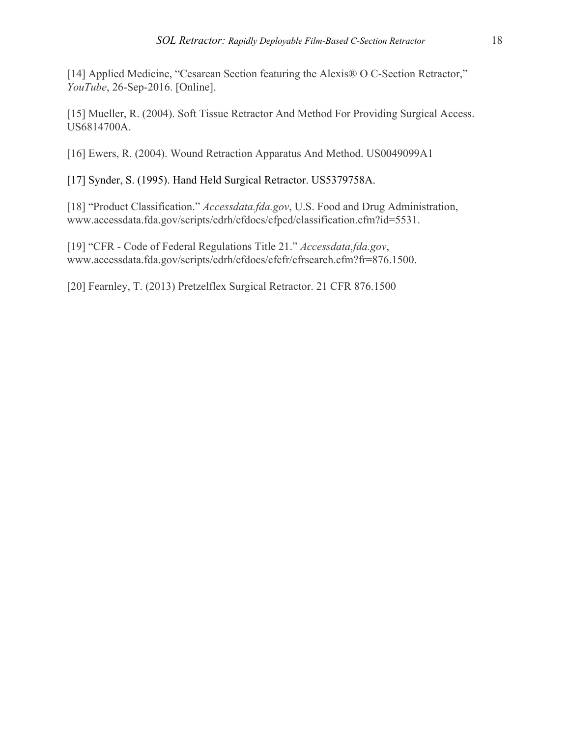[14] Applied Medicine, "Cesarean Section featuring the Alexis® O C-Section Retractor," *YouTube*, 26-Sep-2016. [Online].

[15] Mueller, R. (2004). Soft Tissue Retractor And Method For Providing Surgical Access. US6814700A.

[16] Ewers, R. (2004). Wound Retraction Apparatus And Method. US0049099A1

[17] Synder, S. (1995). Hand Held Surgical Retractor. US5379758A.

[18] "Product Classification." *Accessdata.fda.gov*, U.S. Food and Drug Administration, www.accessdata.fda.gov/scripts/cdrh/cfdocs/cfpcd/classification.cfm?id=5531.

[19] "CFR - Code of Federal Regulations Title 21." *Accessdata.fda.gov*, www.accessdata.fda.gov/scripts/cdrh/cfdocs/cfcfr/cfrsearch.cfm?fr=876.1500.

[20] Fearnley, T. (2013) Pretzelflex Surgical Retractor. 21 CFR 876.1500